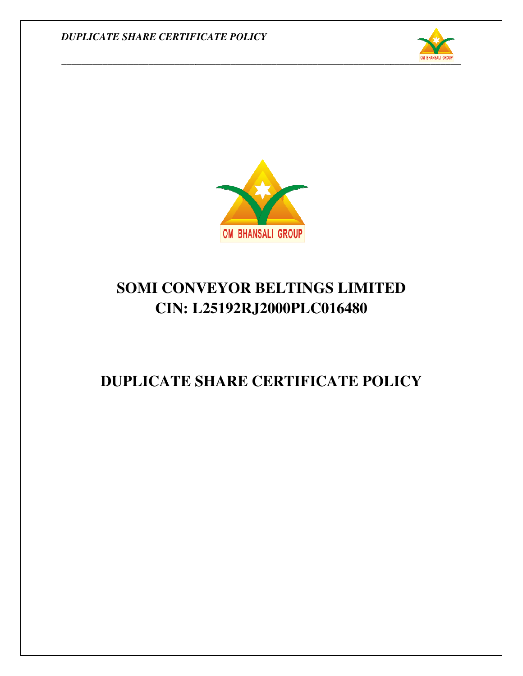



# **SOMI CONVEYOR BELTINGS LIMITED CIN: L25192RJ2000PLC016480**

## **DUPLICATE SHARE CERTIFICATE POLICY**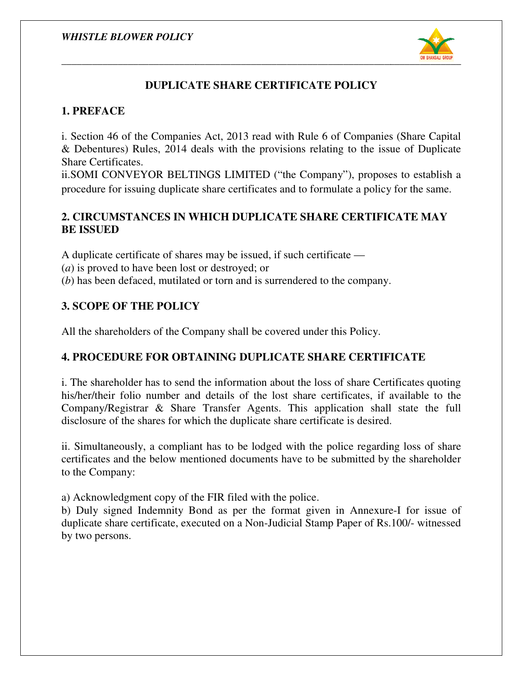

## **DUPLICATE SHARE CERTIFICATE POLICY**

#### **1. PREFACE**

i. Section 46 of the Companies Act, 2013 read with Rule 6 of Companies (Share Capital & Debentures) Rules, 2014 deals with the provisions relating to the issue of Duplicate Share Certificates.

ii.SOMI CONVEYOR BELTINGS LIMITED ("the Company"), proposes to establish a procedure for issuing duplicate share certificates and to formulate a policy for the same. th the provisions relating to the issue of Duplicate<br>
LIMITED ("the Company"), proposes to establish a<br>
certificates and to formulate a policy for the same.

#### **2. CIRCUMSTANCES IN WHICH DUPLICATE SHARE CERTIFICATE MAY CERTIFICATE BE ISSUED**

A duplicate certificate of shares may be issued, if such certificate —

(*a*) is proved to have been lost or destroyed; or

(*b*) has been defaced, mutilated or torn and is surrendered to the company.

## **3. SCOPE OF THE POLICY THE POLICY**

All the shareholders of the Company shall be covered under this Policy.

### **4. PROCEDURE FOR OBTAINING DUPLICATE SHARE CERTIFICATE**

All the shareholders of the Company shall be covered under this Policy.<br> **4. PROCEDURE FOR OBTAINING DUPLICATE SHARE CERTIFICATE**<br>
i. The shareholder has to send the information about the loss of share Certificates quoting his/her/their folio number and details of the lost share certificates, if available to the Company/Registrar & Share Transfer Agents. This application shall state the full disclosure of the shares for which the duplicate share certificate is desired. ber and details of the lost share certificates, if a Share Transfer Agents. This application shall for which the duplicate share certificate is desired. of ates bout the uplicate share Annexure-I for issue of

ii. Simultaneously, a compliant has to be lodged with the police regarding loss of share certificates and the below mentioned documents have to be submitted by the shareholder to the Company: ii. Simultaneously, a compliant has to be lodged with the police regarding loss of share<br>certificates and the below mentioned documents have to be submitted by the shareholder<br>to the Company:<br>a) Acknowledgment copy of the

a) Acknowledgment copy of the FIR filed with the police.

b) Duly signed Indemnity Bond as per the format given in Annexure-I for issue of by two persons.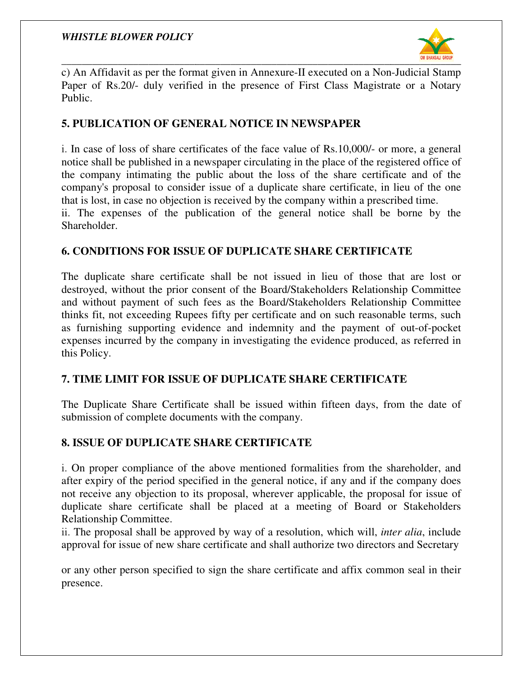#### *WHISTLE BLOWER POLICY*



c) An Affidavit as per the format given in Annexure-II executed on a Non-Judicial Stamp Paper of Rs.20/- duly verified in the presence of First Class Magistrate or a Notary Public.

#### **5. PUBLICATION OF GENERAL NOTICE IN NEWSPAPER NEWSPAPER**

i. In case of loss of share certificates of the face value of Rs.10,000/- or more, a general notice shall be published in a newspaper circulating in the place of the registered office of the company intimating the public about the loss of the share certificate and of the company's proposal to consider issue of a duplicate share certificate, in lieu of the one that is lost, in case no objection is received by the company within a prescribed time. ii. The expenses of the publication of the general notice shall be borne by the Shareholder. registered office<br>tificate and of the<br>in lieu of the or<br>escribed time.

#### **6. CONDITIONS FOR ISSUE OF DUPLICATE SHARE CERTIFICATE UE OF UE**

The duplicate share certificate shall be not issued in lieu of those that are lost or destroyed, without the prior consent of the Board/Stakeholders Relationship Committee destroyed, without the prior consent of the Board/Stakeholders Relationship Committee and without payment of such fees as the Board/Stakeholders Relationship Committee thinks fit, not exceeding Rupees fifty per certificate and on such reasonable terms, such as furnishing supporting evidence and indemnity and the payment of out-of-pocket expenses incurred by the company in investigating the evidence produced, as referred in this Policy.

#### **7. TIME LIMIT FOR ISSUE OF DUPLICATE SHARE CERTIFICATE DUPLICATE SHARE CERTIFICATE**

The Duplicate Share Certificate shall be issued within fifteen days, from the date of submission of complete documents with the company.

#### **8. ISSUE OF DUPLICATE SHARE CERTIFICATE**

i. On proper compliance of the above mentioned formalities from the shareholder, and after expiry of the period specified in the general notice, if any and if the the company does not receive any objection to its proposal, wherever applicable, the proposal for issue of duplicate share certificate shall be placed at a meeting of Board or Stakeholders Relationship Committee.

ii. The proposal shall be approved by way of a resolution, which will, *inter alia*, include approval for issue of new share certificate and shall authorize two directors and Secretary

or any other person specified to sign the share certificate and affix common seal in their presence.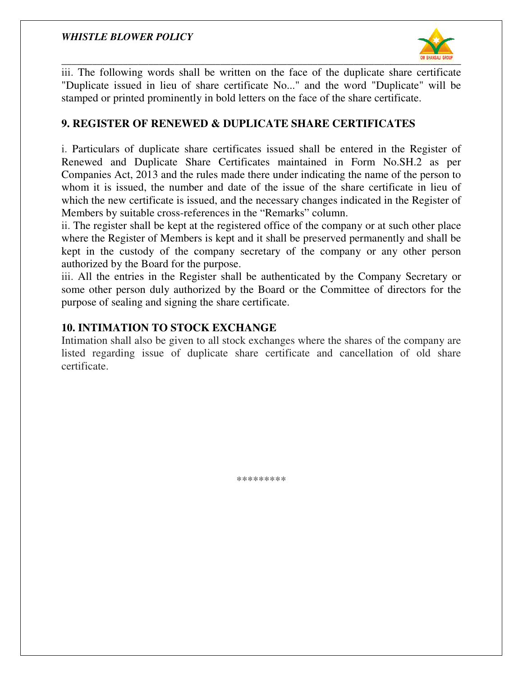

iii. The following words shall be written on the face of the duplicate share certificate "Duplicate issued in lieu of share certificate No..." and the word "Duplicate" will be "Duplicate issued in lieu of share certificate No..." and the word "Duplicate' stamped or printed prominently in bold letters on the face of the share certificate.

#### **9. REGISTER OF RENEWED & DUPLICATE SHARE CERTIFICATES OF CERTIFICATES**

i. Particulars of duplicate share certificates issued shall be entered in the Register of Renewed and Duplicate Share Certificates maintained in Form No.SH.2 as per Companies Act, 2013 and the rules made there under indicating the name of the person to whom it is issued, the number and date of the issue of the share certificate in lieu of which the new certificate is issued, and the necessary changes indicated in the Register of Members by suitable cross-references in the "Remarks" column. i. Particulars of duplicate share certificates issued shall be entered in the Register of Renewed and Duplicate Share Certificates maintained in Form No.SH.2 as per Companies Act, 2013 and the rules made there under indica words shall be written on the face of the duplicate share certificate<br>in lieu of share certificate No..." and the word "Duplicate" will be<br>prominently in bold letters on the face of the share certificate.<br>FRENEWED & DUPLIC

ii. The register shall be kept at the registered office of the company or at such other place where the Register of Members is kept and it shall be preserved permanently and shall be kept in the custody of the company secretary of the company or any other person authorized by the Board for the purpose.

iii. All the entries in the Register shall be authenticated by the Company Secretary or some other person duly authorized by the Board or the Committee of directors for the purpose of sealing and signing the share certificate.

#### **10. INTIMATION TO STOCK EXCHANGE 10. INTIMATION**

Intimation shall also be given to all stock exchanges where the shares of the company are listed regarding issue of duplicate share certificate and cancellation of old share certificate. shall to exchanges of issue of duplicate \*\*\*\*\*\*\*\*\*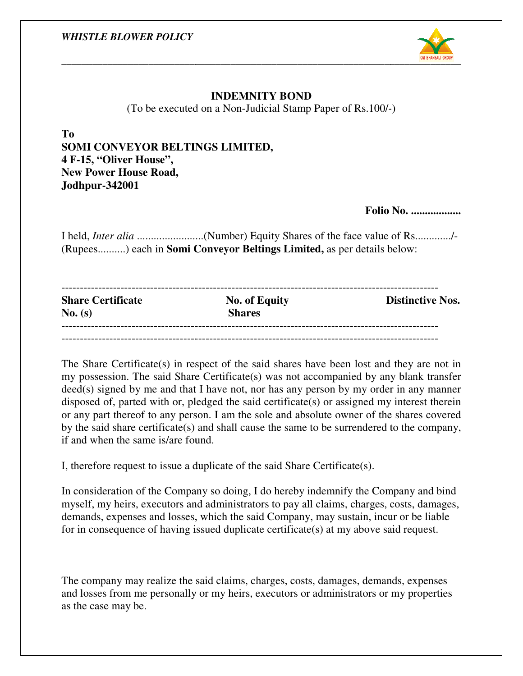

#### **INDEMNITY BOND**

(To be executed on a Non-Judicial Stamp Paper of Rs.100/-

**To SOMI CONVEYOR BELTINGS LIMITED, 4 F-15, "Oliver House", New Power House Road, Jodhpur-342001**

**Folio No. ..................**

|                                                                               | I held, <i>Inter alia </i> (Number) Equity Shares of the face value of Rs/- |  |  |
|-------------------------------------------------------------------------------|-----------------------------------------------------------------------------|--|--|
| (Rupees) each in <b>Somi Conveyor Beltings Limited,</b> as per details below: |                                                                             |  |  |
|                                                                               |                                                                             |  |  |

| <b>Share Certificate</b><br>No. (s) | <b>No. of Equity</b><br><b>Shares</b> | <b>Distinctive Nos.</b> |
|-------------------------------------|---------------------------------------|-------------------------|
|                                     |                                       |                         |

The Share Certificate(s) in respect of the said shares have been lost and they are not -------------------------------not in my possession. The said Share Certificate(s) was not accompanied by any bla  $\text{deed}(s)$  signed by me and that I have not, nor has any person by my order in any manner disposed of, parted with or, pledged the said certificate(s) or assigned my interest therein or any part thereof to any person. I am the sole and absolute owner of the shares covered by the said share certificate(s) and shall cause the same to be surrendered to the company, if and when the same is/are found. The Share Certificate(s) in respect of the said shares have been lost and they are not in<br>my possession. The said Share Certificate(s) was not accompanied by any blank transfer<br>deed(s) signed by me and that I have not, nor (To be executed on a Non-Judicial Stamp Paper of Rs.100/-)<br>
To<br>
To<br>
To<br>
SOMI CONVEYOR BELTINGS LIMITED,<br>
4 F-15, "Oliver House",<br>
New Power House",<br>
New Power House",<br>
Folio N.<br>
Jodhpur-342001<br>
Field, *Inter alia ........* blank transfer assigned my interest thereir<br>owner of the shares covered<br>surrendered to the company<br>ficate(s).<br>nify the Company and bind

I, therefore request to issue a duplicate of the said Share Certificate(s).

In consideration of the Company so doing, I do hereby indemnify the Company and bine myself, my heirs, executors and administrators to pay all claims, charges, costs, damage demands, expenses and losses, which the said Com myself, my heirs, executors and administrators to pay all claims, charges, costs, costs, damages, demands, expenses and losses, which the said Company, may sustain, incur or be liable for in consequence of having issued duplicate certificate(s) at my above said request.

The company may realize the said claims, charges, costs, damages, demands, demands, expenses and losses from me personally or my heirs, executors or administrators or my properties as the case may be.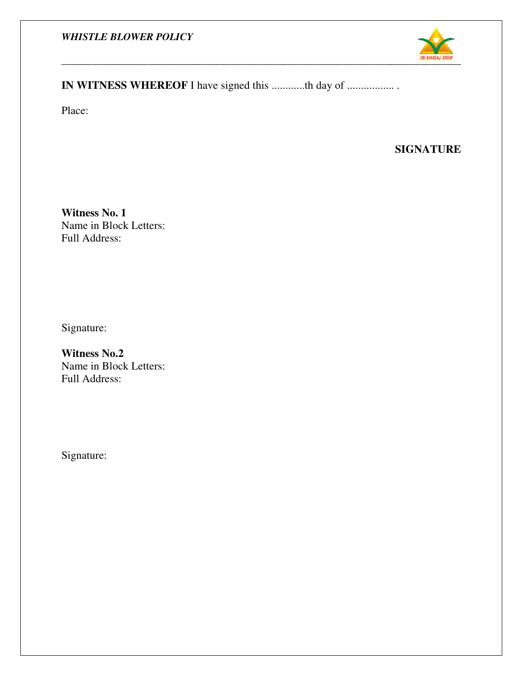#### *WHISTLE BLOWER POLICY*



## **IN WITNESS WHEREOF I** have signed this ............th day of ...................

Place:

#### **SIGNATURE**

**Witness No. 1**  Name in Block Letters: Full Address:

Signature:

**Witness No.2**  Name in Block Letters: Full Address:

Signature: